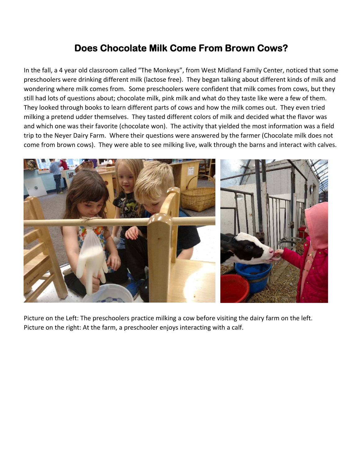## **Does Chocolate Milk Come From Brown Cows?**

In the fall, a 4 year old classroom called "The Monkeys", from West Midland Family Center, noticed that some preschoolers were drinking different milk (lactose free). They began talking about different kinds of milk and wondering where milk comes from. Some preschoolers were confident that milk comes from cows, but they still had lots of questions about; chocolate milk, pink milk and what do they taste like were a few of them. They looked through books to learn different parts of cows and how the milk comes out. They even tried milking a pretend udder themselves. They tasted different colors of milk and decided what the flavor was and which one was their favorite (chocolate won). The activity that yielded the most information was a field trip to the Neyer Dairy Farm. Where their questions were answered by the farmer (Chocolate milk does not come from brown cows). They were able to see milking live, walk through the barns and interact with calves.



Picture on the Left: The preschoolers practice milking a cow before visiting the dairy farm on the left. Picture on the right: At the farm, a preschooler enjoys interacting with a calf.